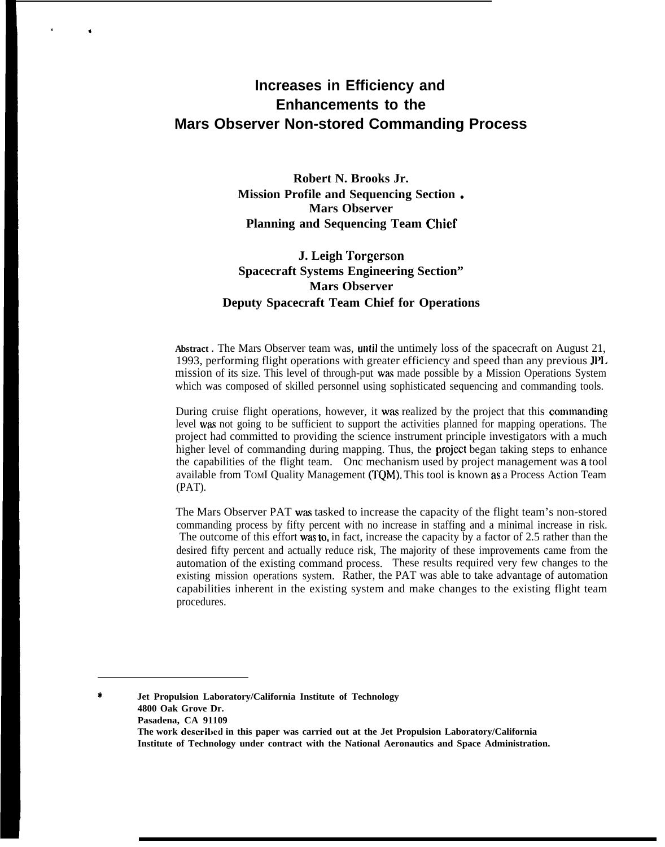# **Increases in Efficiency and Enhancements to the Mars Observer Non-stored Commanding Process**

**Robert N. Brooks Jr. Mission Profile and Sequencing Section . Mars Observer Planning and Sequencing Team Chief**

### **J. Leigh Torgerson Spacecraft Systems Engineering Section" Mars Observer Deputy Spacecraft Team Chief for Operations**

**Abstract .** The Mars Observer team was, until the untimely loss of the spacecraft on August 21, 1993, performing flight operations with greater efficiency and speed than any previous JP1. mission of its size. This level of through-put was made possible by a Mission Operations System which was composed of skilled personnel using sophisticated sequencing and commanding tools.

During cruise flight operations, however, it was realized by the project that this commanding level was not going to be sufficient to support the activities planned for mapping operations. The project had committed to providing the science instrument principle investigators with a much higher level of commanding during mapping. Thus, the project began taking steps to enhance the capabilities of the flight team. Onc mechanism used by project management was a tool available from TOMI Quality Management (TQM). This tool is known as a Process Action Team (PAT).

The Mars Observer PAT was tasked to increase the capacity of the flight team's non-stored commanding process by fifty percent with no increase in staffing and a minimal increase in risk. The outcome of this effort was to, in fact, increase the capacity by a factor of 2.5 rather than the desired fifty percent and actually reduce risk, The majority of these improvements came from the automation of the existing command process. These results required very few changes to the existing mission operations system. Rather, the PAT was able to take advantage of automation capabilities inherent in the existing system and make changes to the existing flight team procedures.

\* **Jet Propulsion Laboratory/California Institute of Technology 4800 Oak Grove Dr. Pasadena, CA 91109 The work dcscribcd in this paper was carried out at the Jet Propulsion Laboratory/California Institute of Technology under contract with the National Aeronautics and Space Administration.**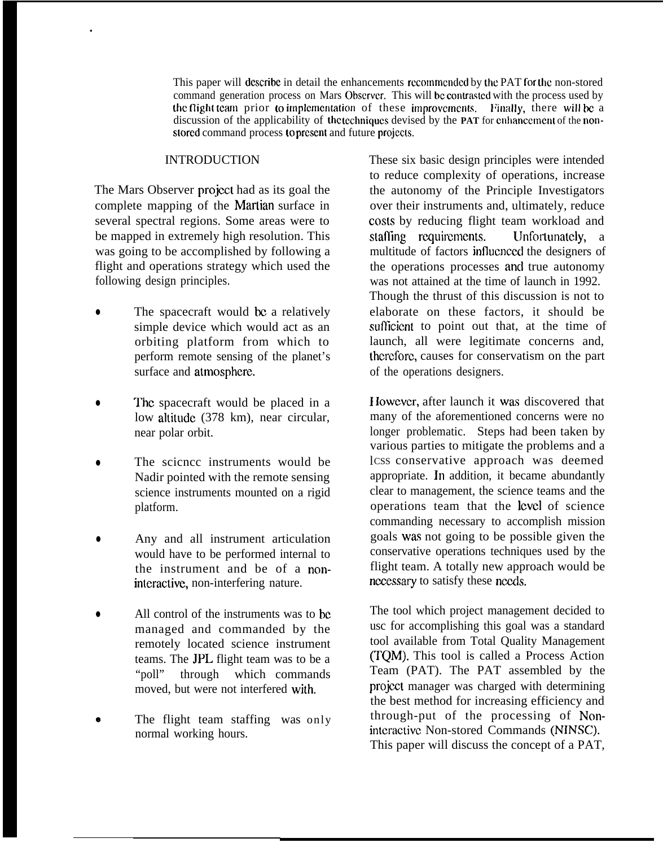This paper will describe in detail the enhancements recommended by the PAT for the non-stored command generation process on Mars Observer. This will be contrasted with the process used by the flight team prior to implementation of these improvements. Finally, there will be a discussion of the applicability of the techniques devised by the **PAT** for enhancement of the nonstored command process to present and future projects.

#### **INTRODUCTION**

.

The Mars Observer project had as its goal the complete mapping of the Martian surface in several spectral regions. Some areas were to be mapped in extremely high resolution. This was going to be accomplished by following a flight and operations strategy which used the following design principles.

- The spacecraft would be a relatively simple device which would act as an orbiting platform from which to perform remote sensing of the planet's surface and atmosphere.
- The spacecraft would be placed in a low altitude (378 km), near circular, near polar orbit.
- The scicncc instruments would be Nadir pointed with the remote sensing science instruments mounted on a rigid platform.
- Any and all instrument articulation would have to be performed internal to the instrument and be of a noninteractivc, non-interfering nature.
- All control of the instruments was to be managed and commanded by the remotely located science instrument teams. The JPL flight team was to be a "poll" through which commands moved, but were not interfered with.
- The flight team staffing was only normal working hours.

These six basic design principles were intended to reduce complexity of operations, increase the autonomy of the Principle Investigators over their instruments and, ultimately, reduce costs by reducing flight team workload and staffing requirements. Unfortunately, a multitude of factors influenced the designers of the operations processes and true autonomy was not attained at the time of launch in 1992. Though the thrust of this discussion is not to elaborate on these factors, it should be sufficient to point out that, at the time of launch, all were legitimate concerns and, thcrcforc, causes for conservatism on the part of the operations designers.

I Iowcvcr, after launch it was discovered that many of the aforementioned concerns were no longer problematic. Steps had been taken by various parties to mitigate the problems and a lcss conservative approach was deemed appropriate. In addition, it became abundantly clear to management, the science teams and the operations team that the level of science commanding necessary to accomplish mission goals was not going to be possible given the conservative operations techniques used by the flight team. A totally new approach would be necessary to satisfy these needs.

The tool which project management decided to usc for accomplishing this goal was a standard tool available from Total Quality Management (TQM). This tool is called a Process Action Team (PAT). The PAT assembled by the project manager was charged with determining the best method for increasing efficiency and through-put of the processing of Nonintcractivc Non-stored Commands (NINSC). This paper will discuss the concept of a PAT,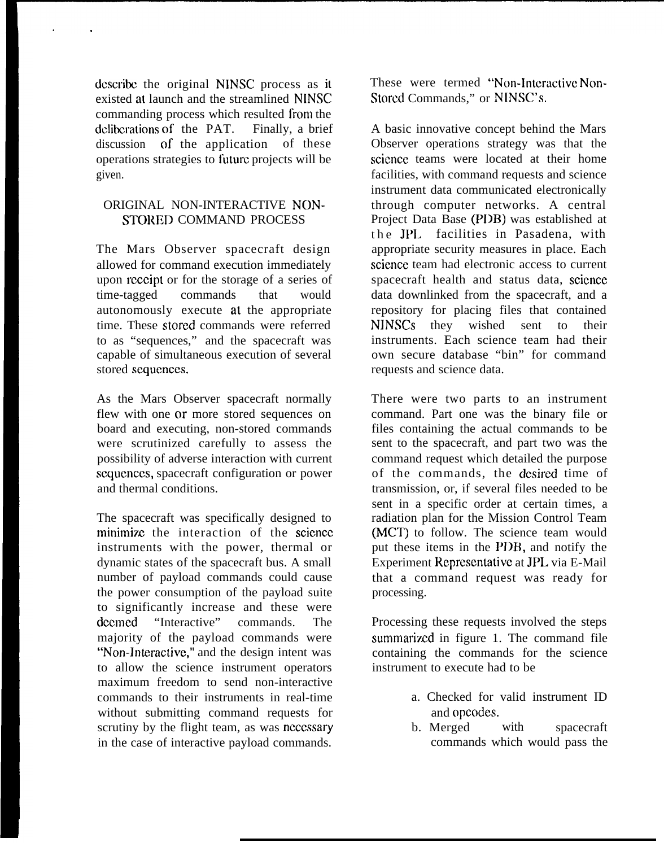dcscribc the original NINSC process as it existed at launch and the streamlined NINSC commanding process which resulted from the deliberations of the PAT. Finally, a brief discussion of the application of these operations strategies to future projects will be given.

### ORIGINAL NON-INTERACTIVE NON-STORED COMMAND PROCESS

The Mars Observer spacecraft design allowed for command execution immediately upon rcccipt or for the storage of a series of time-tagged commands that would autonomously execute at the appropriate time. These stored commands were referred to as "sequences," and the spacecraft was capable of simultaneous execution of several stored sequences.

As the Mars Observer spacecraft normally flew with one or more stored sequences on board and executing, non-stored commands were scrutinized carefully to assess the possibility of adverse interaction with current scqucnccs, spacecraft configuration or power and thermal conditions.

The spacecraft was specifically designed to minimize the interaction of the science instruments with the power, thermal or dynamic states of the spacecraft bus. A small number of payload commands could cause the power consumption of the payload suite to significantly increase and these were dccmed "Interactive" commands. The majority of the payload commands were "Non-lnteractivc," and the design intent was to allow the science instrument operators maximum freedom to send non-interactive commands to their instruments in real-time without submitting command requests for scrutiny by the flight team, as was necessary in the case of interactive payload commands.

These were termed "Non-Interactive Non-Storcd Commands," or NINSC'S.

A basic innovative concept behind the Mars Observer operations strategy was that the science teams were located at their home facilities, with command requests and science instrument data communicated electronically through computer networks. A central Project Data Base (PDB) was established at the JPL facilities in Pasadena, with appropriate security measures in place. Each science team had electronic access to current spacecraft health and status data, science data downlinked from the spacecraft, and a repository for placing files that contained NINSCS they wished sent to their instruments. Each science team had their own secure database "bin" for command requests and science data.

There were two parts to an instrument command. Part one was the binary file or files containing the actual commands to be sent to the spacecraft, and part two was the command request which detailed the purpose of the commands, the desired time of transmission, or, if several files needed to be sent in a specific order at certain times, a radiation plan for the Mission Control Team (MCT) to follow. The science team would put these items in the PIIB, and notify the Experiment Rcprcsentativc at JPL via E-Mail that a command request was ready for processing.

Processing these requests involved the steps summarized in figure 1. The command file containing the commands for the science instrument to execute had to be

- a. Checked for valid instrument ID and opcodes.
- b. Merged with spacecraft commands which would pass the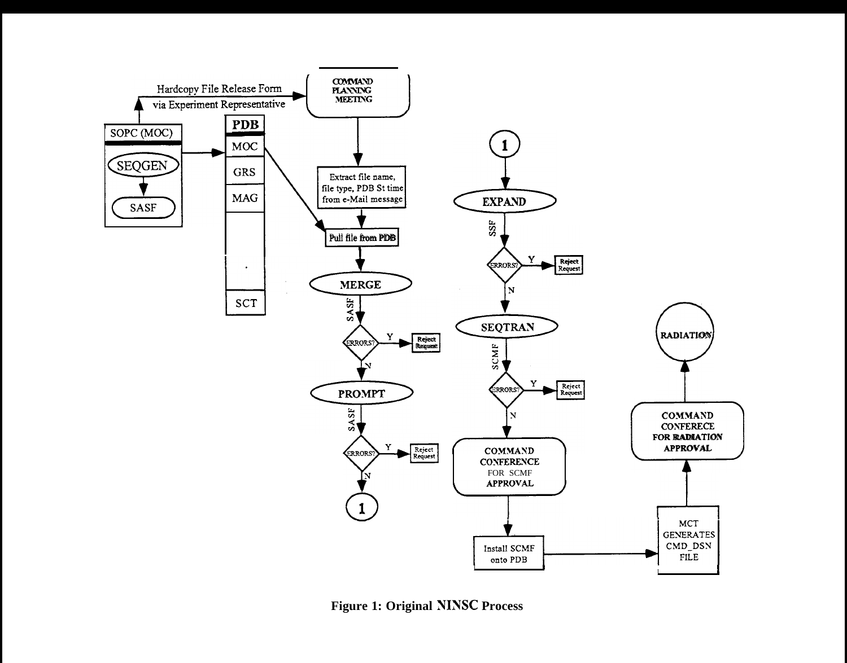

**Figure 1: Original NINSC Process**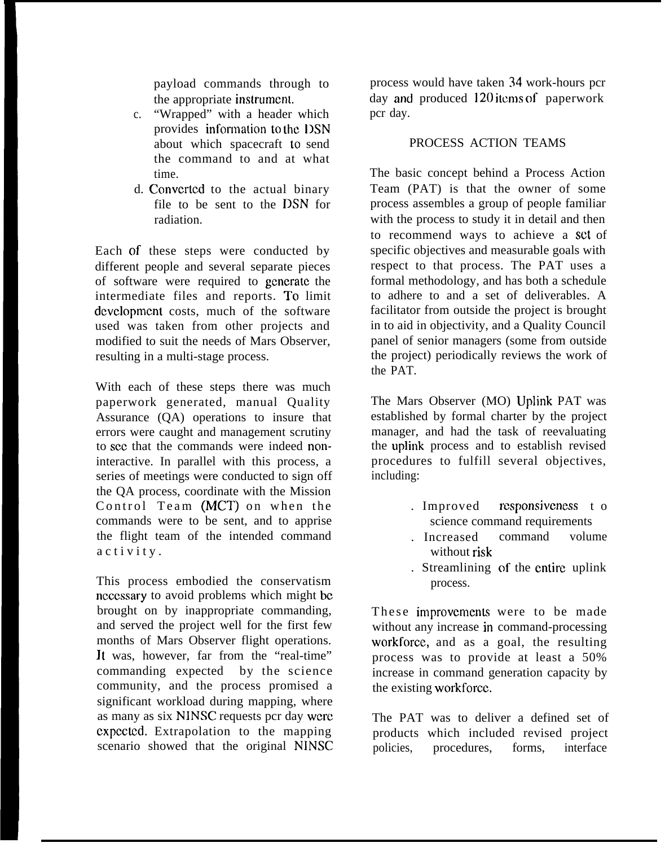payload commands through to the appropriate instrurncnt.

- c. "Wrapped" with a header which provides information to the DSN about which spacecraft to send the command to and at what time.
- d. Converted to the actual binary file to be sent to the DSN for radiation.

Each of these steps were conducted by different people and several separate pieces of software were required to gcncratc the intermediate files and reports. To limit development costs, much of the software used was taken from other projects and modified to suit the needs of Mars Observer, resulting in a multi-stage process.

With each of these steps there was much paperwork generated, manual Quality Assurance (QA) operations to insure that errors were caught and management scrutiny to scc that the commands were indeed noninteractive. In parallel with this process, a series of meetings were conducted to sign off the QA process, coordinate with the Mission Control Team (MCT) on when the commands were to be sent, and to apprise the flight team of the intended command activity .

This process embodied the conservatism ncccssary to avoid problems which might bc brought on by inappropriate commanding, and served the project well for the first few months of Mars Observer flight operations. Jt was, however, far from the "real-time" commanding expected by the science community, and the process promised a significant workload during mapping, where as many as six NINSC requests pcr day were cxpectcd. Extrapolation to the mapping scenario showed that the original NINSC process would have taken 34 work-hours pcr day and produced 120 items of paperwork pcr day.

## PROCESS ACTION TEAMS

The basic concept behind a Process Action Team (PAT) is that the owner of some process assembles a group of people familiar with the process to study it in detail and then to recommend ways to achieve a set of specific objectives and measurable goals with respect to that process. The PAT uses a formal methodology, and has both a schedule to adhere to and a set of deliverables. A facilitator from outside the project is brought in to aid in objectivity, and a Quality Council panel of senior managers (some from outside the project) periodically reviews the work of the PAT.

The Mars Observer (MO) Uplink PAT was established by formal charter by the project manager, and had the task of reevaluating the uplink process and to establish revised procedures to fulfill several objectives, including:

- . Improved rcsponsjvcness t o science command requirements
- . Increased command volume without risk
- . Streamlining of the entire uplink process.

These improvements were to be made without any increase in command-processing workforce, and as a goal, the resulting process was to provide at least a 50% increase in command generation capacity by the existing workforce.

The PAT was to deliver a defined set of products which included revised project policies, procedures, forms, interface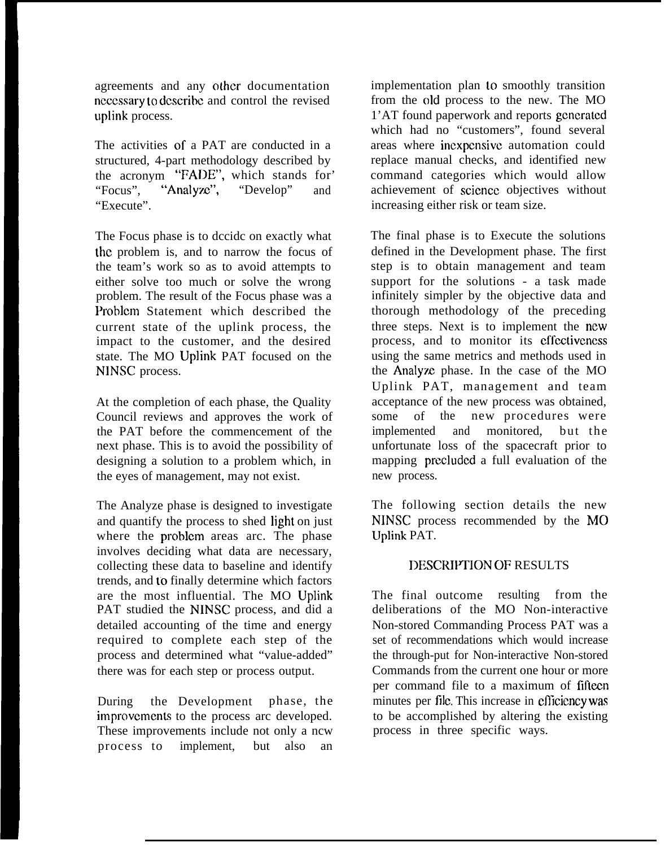agreements and any other documentation ncccssary to dcscribc and control the revised uplink process.

The activities of a PAT are conducted in a structured, 4-part methodology described by the acronym "FADE", which stands for<br>"Focus", "Analyze", "Develop" and "Analyze", "Develop" and "Execute".

The Focus phase is to dccidc on exactly what the problem is, and to narrow the focus of the team's work so as to avoid attempts to either solve too much or solve the wrong problem. The result of the Focus phase was a Problcm Statement which described the current state of the uplink process, the impact to the customer, and the desired state. The MO Uplink PAT focused on the NINSC process.

At the completion of each phase, the Quality Council reviews and approves the work of the PAT before the commencement of the next phase. This is to avoid the possibility of designing a solution to a problem which, in the eyes of management, may not exist.

The Analyze phase is designed to investigate and quantify the process to shed light on just where the problcm areas arc. The phase involves deciding what data are necessary, collecting these data to baseline and identify trends, and to finally determine which factors are the most influential. The MO Uplink PAT studied the NINSC process, and did a detailed accounting of the time and energy required to complete each step of the process and determined what "value-added" there was for each step or process output.

During the Development phase, the improvements to the process arc developed. These improvements include not only a ncw process to implement, but also an

implementation plan to smoothly transition from the old process to the new. The MO 1'AT found paperwork and reports gcncratcd which had no "customers", found several areas where incxpcnsivc automation could replace manual checks, and identified new command categories which would allow achievement of scicncc objectives without increasing either risk or team size.

The final phase is to Execute the solutions defined in the Development phase. The first step is to obtain management and team support for the solutions - a task made infinitely simpler by the objective data and thorough methodology of the preceding three steps. Next is to implement the new process, and to monitor its effectiveness using the same metrics and methods used in the Analyze phase. In the case of the MO Uplink PAT, management and team acceptance of the new process was obtained, some of the new procedures were implemented and monitored, but the unfortunate loss of the spacecraft prior to mapping prccludcd a full evaluation of the new process.

The following section details the new NINSC process recommended by the MO Uplink PAT.

### DESCRIPTION OF RESULTS

The final outcome resulting from the deliberations of the MO Non-interactive Non-stored Commanding Process PAT was a set of recommendations which would increase the through-put for Non-interactive Non-stored Commands from the current one hour or more per command file to a maximum of fifteen minutes per file. This increase in efficiency was to be accomplished by altering the existing process in three specific ways.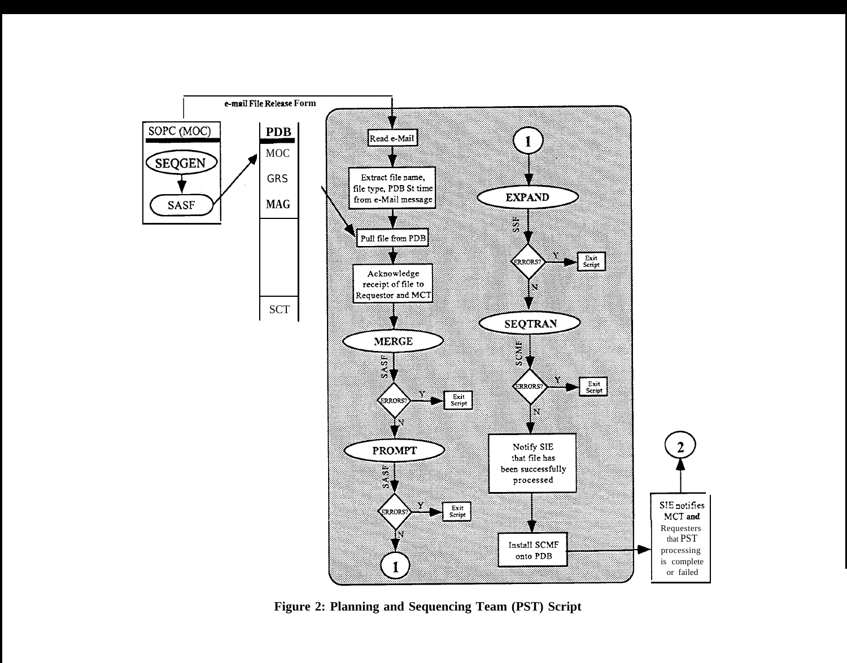

**Figure 2: Planning and Sequencing Team (PST) Script**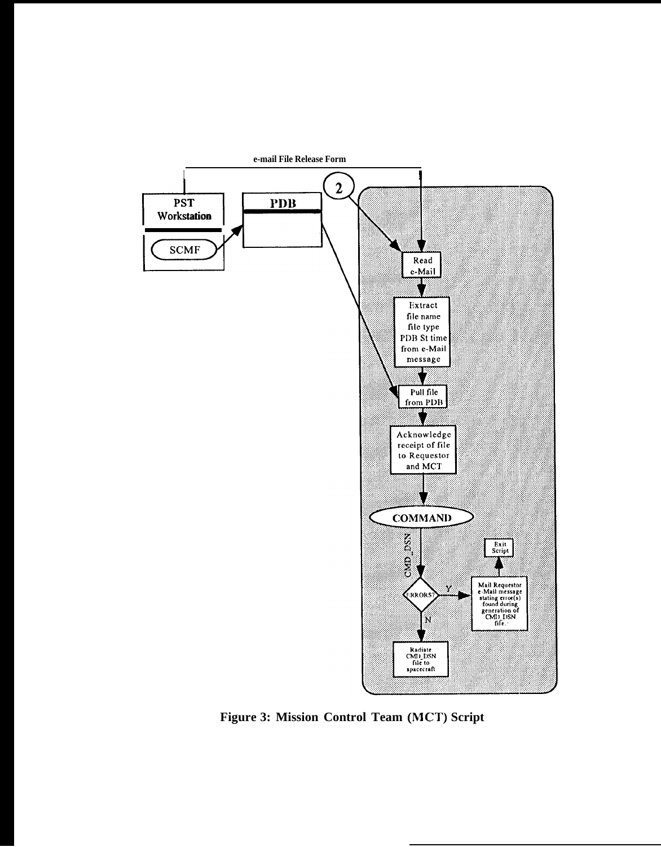

**Figure 3: Mission Control Team (MCT) Script**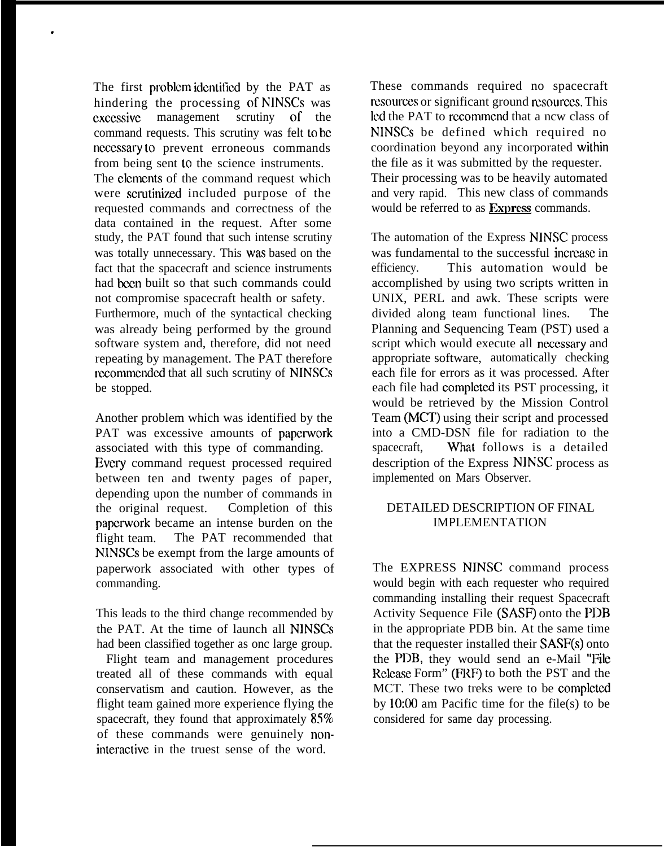The first problem identified by the PAT as hindering the processing of NINSCs was cxccssivc management scrutiny of the command requests. This scrutiny was felt to hc ncccssary to prevent erroneous commands from being sent to the science instruments.

.

The clements of the command request which were scrutinized included purpose of the requested commands and correctness of the data contained in the request. After some study, the PAT found that such intense scrutiny was totally unnecessary. This was based on the fact that the spacecraft and science instruments had been built so that such commands could not compromise spacecraft health or safety. Furthermore, much of the syntactical checking was already being performed by the ground software system and, therefore, did not need repeating by management. The PAT therefore recommended that all such scrutiny of NINSCs be stopped.

Another problem which was identified by the PAT was excessive amounts of paperwork associated with this type of commanding. Every command request processed required between ten and twenty pages of paper, depending upon the number of commands in the original request. Completion of this papcrwork became an intense burden on the flight team. The PAT recommended that NINSCs be exempt from the large amounts of paperwork associated with other types of commanding.

This leads to the third change recommended by the PAT. At the time of launch all NINSCS had been classified together as onc large group.

Flight team and management procedures treated all of these commands with equal conservatism and caution. However, as the flight team gained more experience flying the spacecraft, they found that approximately  $85\%$ of these commands were genuinely noninteractive in the truest sense of the word.

These commands required no spacecraft resources or significant ground resources. This lcd the PAT to rccommcnd that a ncw class of NINSCS be defined which required no coordination beyond any incorporated within the file as it was submitted by the requester. Their processing was to be heavily automated and very rapid. This new class of commands would be referred to as **Exmcss** commands.

The automation of the Express NINSC process was fundamental to the successful increase in efficiency. This automation would be accomplished by using two scripts written in UNIX, PERL and awk. These scripts were divided along team functional lines. The Planning and Sequencing Team (PST) used a script which would execute all necessary and appropriate software, automatically checking each file for errors as it was processed. After each file had complctcd its PST processing, it would be retrieved by the Mission Control Team (MCT) using their script and processed into a CMD-DSN file for radiation to the spacecraft, What follows is a detailed description of the Express NJNSC process as implemented on Mars Observer.

#### DETAILED DESCRIPTION OF FINAL IMPLEMENTATION

The EXPRESS NINSC command process would begin with each requester who required commanding installing their request Spacecraft Activity Sequence File (SASF) onto the PDB in the appropriate PDB bin. At the same time that the requester installed their SASF(S) onto the PDB, they would send an e-Mail "File Release Form" (FRF) to both the PST and the MCT. These two treks were to be completed by 10:00 am Pacific time for the file(s) to be considered for same day processing.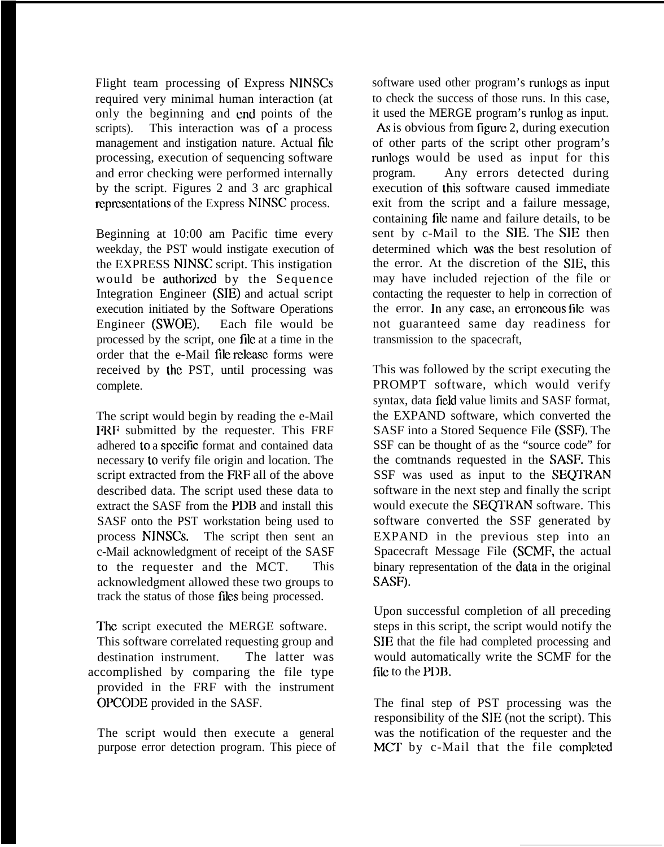Flight team processing of Express NINSCS required very minimal human interaction (at only the beginning and cnd points of the scripts). This interaction was of a process management and instigation nature. Actual file processing, execution of sequencing software and error checking were performed internally by the script. Figures 2 and 3 arc graphical representations of the Express NINSC process.

Beginning at 10:00 am Pacific time every weekday, the PST would instigate execution of the EXPRESS NINSC script. This instigation would be authorized by the Sequence Integration Engineer (SIE) and actual script execution initiated by the Software Operations Engineer (SWOE). Each file would be processed by the script, one file at a time in the order that the e-Mail file release forms were received by the PST, until processing was complete.

The script would begin by reading the e-Mail FRF submitted by the requester. This FRF adhered to a spccitic format and contained data necessary to verify file origin and location. The script extracted from the FRF all of the above described data. The script used these data to extract the SASF from the PDB and install this SASF onto the PST workstation being used to process NINSCS. The script then sent an c-Mail acknowledgment of receipt of the SASF to the requester and the MCT. This acknowledgment allowed these two groups to track the status of those files being processed.

The script executed the MERGE software. This software correlated requesting group and destination instrument. The latter was accomplished by comparing the file type provided in the FRF with the instrument OPCODE provided in the SASF.

The script would then execute a general purpose error detection program. This piece of software used other program's runlogs as input to check the success of those runs. In this case, it used the MERGE program's runlog as input. As is obvious from figure 2, during execution of other parts of the script other program's runlogs would be used as input for this program. Any errors detected during execution of this software caused immediate exit from the script and a failure message, containing file name and failure details, to be sent by c-Mail to the SIE. The SIE then determined which was the best resolution of the error. At the discretion of the SIE, this may have included rejection of the file or contacting the requester to help in correction of the error. In any case, an erroneous file was not guaranteed same day readiness for transmission to the spacecraft,

This was followed by the script executing the PROMPT software, which would verify syntax, data field value limits and SASF format, the EXPAND software, which converted the SASF into a Stored Sequence File (SSF). The SSF can be thought of as the "source code" for the comtnands requested in the SASF. This SSF was used as input to the SEQTRAN software in the next step and finally the script would execute the SEQIRAN software. This software converted the SSF generated by EXPAND in the previous step into an Spacecraft Message File (SCMF, the actual binary representation of the data in the original SASF).

Upon successful completion of all preceding steps in this script, the script would notify the SIE that the file had completed processing and would automatically write the SCMF for the file to the PDB.

The final step of PST processing was the responsibility of the SIE (not the script). This was the notification of the requester and the MCT by c-Mail that the file completed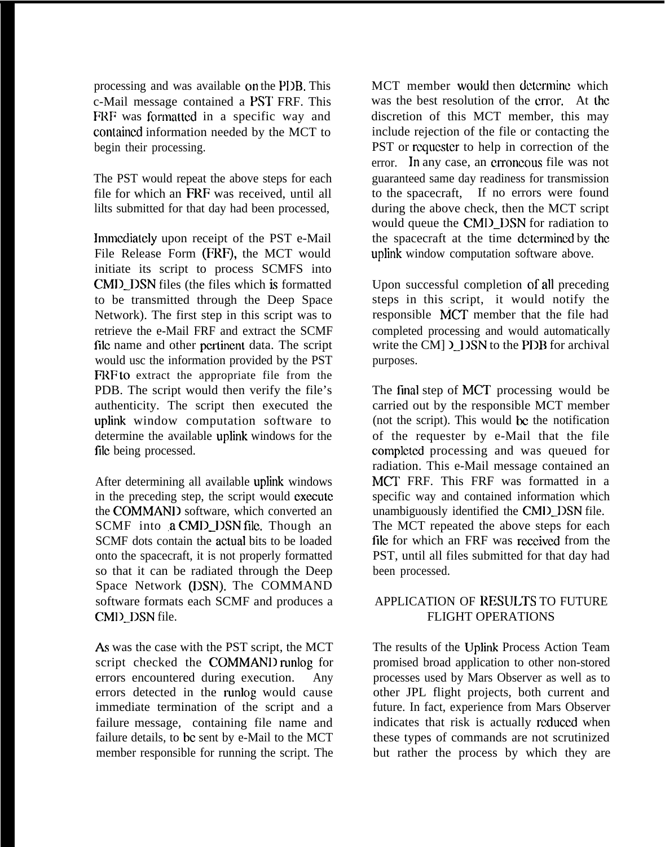processing and was available on the PDB. This c-Mail message contained a PST FRF. This FRF was formatted in a specific way and contained information needed by the MCT to begin their processing.

The PST would repeat the above steps for each file for which an FRF was received, until all lilts submitted for that day had been processed,

Immediately upon receipt of the PST e-Mail File Release Form (FRF), the MCT would initiate its script to process SCMFS into CMD<sub>.</sub> DSN files (the files which is formatted to be transmitted through the Deep Space Network). The first step in this script was to retrieve the e-Mail FRF and extract the SCMF file name and other pertinent data. The script would usc the information provided by the PST **FRF to** extract the appropriate file from the PDB. The script would then verify the file's authenticity. The script then executed the uplink window computation software to determine the available uplink windows for the file being processed.

After determining all available uplink windows in the preceding step, the script would execute the COMMANI) software, which converted an SCMF into a CMD DSN file. Though an SCMF dots contain the actuaJ bits to be loaded onto the spacecraft, it is not properly formatted so that it can be radiated through the Deep Space Network (DSN). The COMMAND software formats each SCMF and produces a CMID\_DSN file.

As was the case with the PST script, the MCT script checked the COMMANI) runlog for errors encountered during execution. Any errors detected in the runlog would cause immediate termination of the script and a failure message, containing file name and failure details, to bc sent by e-Mail to the MCT member responsible for running the script. The MCT member would then determine which was the best resolution of the error. At the discretion of this MCT member, this may include rejection of the file or contacting the PST or requester to help in correction of the error. In any case, an erroneous file was not guaranteed same day readiness for transmission to the spacecraft, If no errors were found during the above check, then the MCT script would queue the CMD\_DSN for radiation to the spacecraft at the time dctcrmincd by the uplink window computation software above.

Upon successful completion of all preceding steps in this script, it would notify the responsible MCT member that the file had completed processing and would automatically write the CM $\vert$   $\vert$  IDSN to the PDB for archival purposes.

The final step of MCT processing would be carried out by the responsible MCT member (not the script). This would be the notification of the requester by e-Mail that the file complctcd processing and was queued for radiation. This e-Mail message contained an MCT FRF. This FRF was formatted in a specific way and contained information which unambiguously identified the CMD\_DSN file. The MCT repeated the above steps for each file for which an FRF was received from the PST, until all files submitted for that day had been processed.

### APPLICATION OF RESULTS TO FUTURE FLIGHT OPERATIONS

The results of the Uplink Process Action Team promised broad application to other non-stored processes used by Mars Observer as well as to other JPL flight projects, both current and future. In fact, experience from Mars Observer indicates that risk is actually rcduccd when these types of commands are not scrutinized but rather the process by which they are